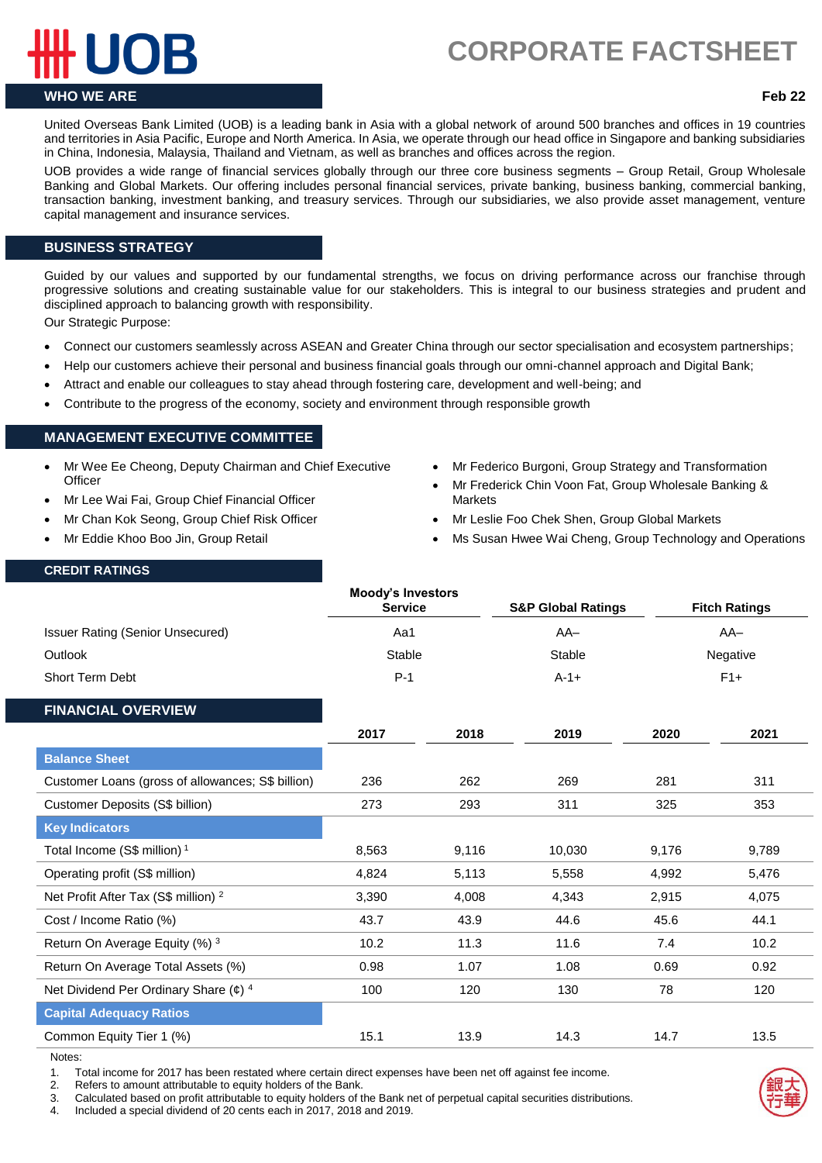# **CORPORATE FACTSHEET.**

# **WHO WE ARE Feb 22**

United Overseas Bank Limited (UOB) is a leading bank in Asia with a global network of around 500 branches and offices in 19 countries and territories in Asia Pacific, Europe and North America. In Asia, we operate through our head office in Singapore and banking subsidiaries in China, Indonesia, Malaysia, Thailand and Vietnam, as well as branches and offices across the region.

UOB provides a wide range of financial services globally through our three core business segments – Group Retail, Group Wholesale Banking and Global Markets. Our offering includes personal financial services, private banking, business banking, commercial banking, transaction banking, investment banking, and treasury services. Through our subsidiaries, we also provide asset management, venture capital management and insurance services.

## **BUSINESS STRATEGY**

Guided by our values and supported by our fundamental strengths, we focus on driving performance across our franchise through progressive solutions and creating sustainable value for our stakeholders. This is integral to our business strategies and prudent and disciplined approach to balancing growth with responsibility.

Our Strategic Purpose:

- Connect our customers seamlessly across ASEAN and Greater China through our sector specialisation and ecosystem partnerships;
- Help our customers achieve their personal and business financial goals through our omni-channel approach and Digital Bank;
- Attract and enable our colleagues to stay ahead through fostering care, development and well-being; and
- Contribute to the progress of the economy, society and environment through responsible growth

### **MANAGEMENT EXECUTIVE COMMITTEE**

- Mr Wee Ee Cheong, Deputy Chairman and Chief Executive **Officer**
- Mr Lee Wai Fai, Group Chief Financial Officer
- Mr Chan Kok Seong, Group Chief Risk Officer
- Mr Eddie Khoo Boo Jin, Group Retail
- Mr Federico Burgoni, Group Strategy and Transformation
- Mr Frederick Chin Voon Fat, Group Wholesale Banking & **Markets**
- Mr Leslie Foo Chek Shen, Group Global Markets
- Ms Susan Hwee Wai Cheng, Group Technology and Operations

### **CREDIT RATINGS**

|                                                   | <b>Moody's Investors</b><br><b>Service</b> |       | <b>S&amp;P Global Ratings</b> |          | <b>Fitch Ratings</b> |
|---------------------------------------------------|--------------------------------------------|-------|-------------------------------|----------|----------------------|
| <b>Issuer Rating (Senior Unsecured)</b>           | Aa1                                        |       | $AA-$                         | $AA-$    |                      |
| Outlook                                           | Stable                                     |       | Stable                        | Negative |                      |
| Short Term Debt                                   | $P-1$                                      |       | $A-1+$                        | $F1+$    |                      |
| <b>FINANCIAL OVERVIEW</b>                         |                                            |       |                               |          |                      |
|                                                   | 2017                                       | 2018  | 2019                          | 2020     | 2021                 |
| <b>Balance Sheet</b>                              |                                            |       |                               |          |                      |
| Customer Loans (gross of allowances; S\$ billion) | 236                                        | 262   | 269                           | 281      | 311                  |
| Customer Deposits (S\$ billion)                   | 273                                        | 293   | 311                           | 325      | 353                  |
| <b>Key Indicators</b>                             |                                            |       |                               |          |                      |
| Total Income (S\$ million) <sup>1</sup>           | 8,563                                      | 9,116 | 10,030                        | 9,176    | 9,789                |
| Operating profit (S\$ million)                    | 4,824                                      | 5,113 | 5,558                         | 4,992    | 5,476                |
| Net Profit After Tax (S\$ million) <sup>2</sup>   | 3,390                                      | 4,008 | 4,343                         | 2,915    | 4,075                |
| Cost / Income Ratio (%)                           | 43.7                                       | 43.9  | 44.6                          | 45.6     | 44.1                 |
| Return On Average Equity (%) 3                    | 10.2                                       | 11.3  | 11.6                          | 7.4      | 10.2                 |
| Return On Average Total Assets (%)                | 0.98                                       | 1.07  | 1.08                          | 0.69     | 0.92                 |
| Net Dividend Per Ordinary Share $(e)^4$           | 100                                        | 120   | 130                           | 78       | 120                  |
| <b>Capital Adequacy Ratios</b>                    |                                            |       |                               |          |                      |
| Common Equity Tier 1 (%)                          | 15.1                                       | 13.9  | 14.3                          | 14.7     | 13.5                 |

Notes:

1. Total income for 2017 has been restated where certain direct expenses have been net off against fee income.

2. Refers to amount attributable to equity holders of the Bank.

3. Calculated based on profit attributable to equity holders of the Bank net of perpetual capital securities distributions.

4. Included a special dividend of 20 cents each in 2017, 2018 and 2019.